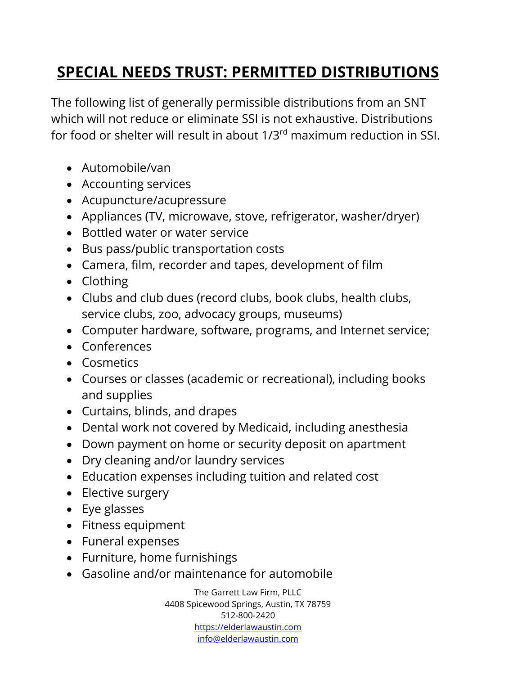## **SPECIAL NEEDS TRUST: PERMITTED DISTRIBUTIONS**

The following list of generally permissible distributions from an SNT which will not reduce or eliminate SSI is not exhaustive. Distributions for food or shelter will result in about 1/3rd maximum reduction in SSI.

- Automobile/van
- Accounting services
- Acupuncture/acupressure
- Appliances (TV, microwave, stove, refrigerator, washer/dryer)
- Bottled water or water service
- Bus pass/public transportation costs
- Camera, film, recorder and tapes, development of film
- Clothing
- Clubs and club dues (record clubs, book clubs, health clubs, service clubs, zoo, advocacy groups, museums)
- Computer hardware, software, programs, and Internet service;
- Conferences
- Cosmetics
- Courses or classes (academic or recreational), including books and supplies
- Curtains, blinds, and drapes
- Dental work not covered by Medicaid, including anesthesia
- Down payment on home or security deposit on apartment
- Dry cleaning and/or laundry services
- Education expenses including tuition and related cost
- Elective surgery
- Eye glasses
- Fitness equipment
- Funeral expenses
- Furniture, home furnishings
- Gasoline and/or maintenance for automobile

The Garrett Law Firm, PLLC 4408 Spicewood Springs, Austin, TX 78759 512-800-2420 [https://elderlawaustin.com](https://elderlawaustin.com/) [info@elderlawaustin.com](mailto:info@elderlawaustin.com)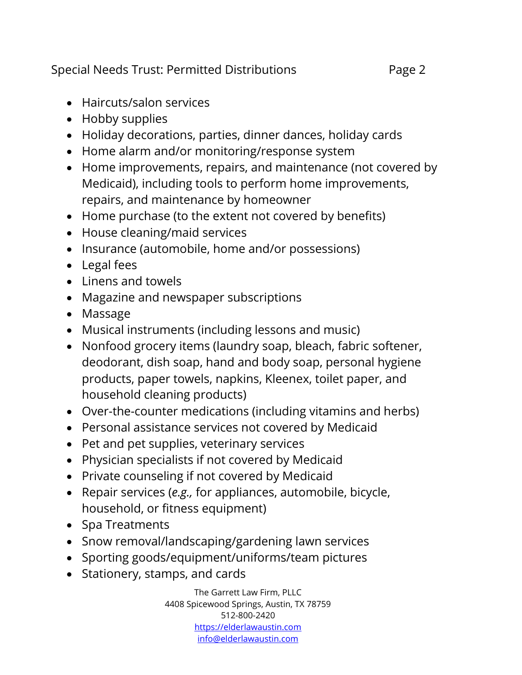Special Needs Trust: Permitted Distributions Page 2

- Haircuts/salon services
- Hobby supplies
- Holiday decorations, parties, dinner dances, holiday cards
- Home alarm and/or monitoring/response system
- Home improvements, repairs, and maintenance (not covered by Medicaid), including tools to perform home improvements, repairs, and maintenance by homeowner
- Home purchase (to the extent not covered by benefits)
- House cleaning/maid services
- Insurance (automobile, home and/or possessions)
- Legal fees
- Linens and towels
- Magazine and newspaper subscriptions
- Massage
- Musical instruments (including lessons and music)
- Nonfood grocery items (laundry soap, bleach, fabric softener, deodorant, dish soap, hand and body soap, personal hygiene products, paper towels, napkins, Kleenex, toilet paper, and household cleaning products)
- Over-the-counter medications (including vitamins and herbs)
- Personal assistance services not covered by Medicaid
- Pet and pet supplies, veterinary services
- Physician specialists if not covered by Medicaid
- Private counseling if not covered by Medicaid
- Repair services (*e.g.,* for appliances, automobile, bicycle, household, or fitness equipment)
- Spa Treatments
- Snow removal/landscaping/gardening lawn services
- Sporting goods/equipment/uniforms/team pictures
- Stationery, stamps, and cards

The Garrett Law Firm, PLLC 4408 Spicewood Springs, Austin, TX 78759 512-800-2420 [https://elderlawaustin.com](https://elderlawaustin.com/) [info@elderlawaustin.com](mailto:info@elderlawaustin.com)